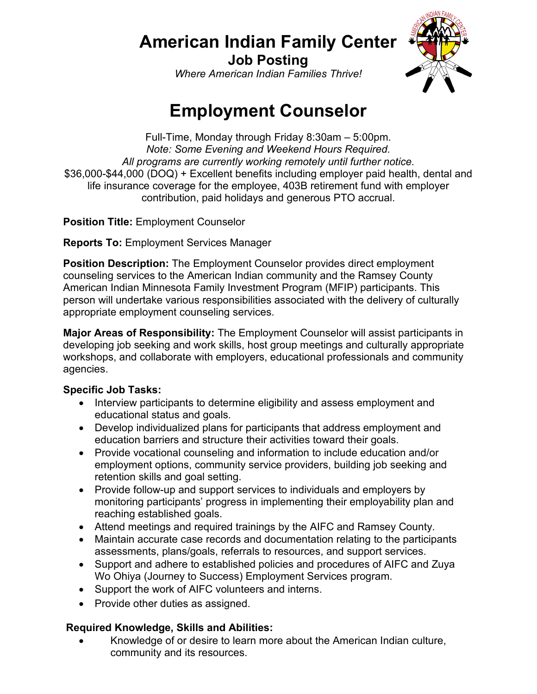## **American Indian Family Center**

**Job Posting** *Where American Indian Families Thrive!*



# **Employment Counselor**

Full-Time, Monday through Friday 8:30am – 5:00pm. *Note: Some Evening and Weekend Hours Required. All programs are currently working remotely until further notice.* \$36,000-\$44,000 (DOQ) + Excellent benefits including employer paid health, dental and life insurance coverage for the employee, 403B retirement fund with employer contribution, paid holidays and generous PTO accrual.

**Position Title:** Employment Counselor

**Reports To:** Employment Services Manager

**Position Description:** The Employment Counselor provides direct employment counseling services to the American Indian community and the Ramsey County American Indian Minnesota Family Investment Program (MFIP) participants. This person will undertake various responsibilities associated with the delivery of culturally appropriate employment counseling services.

**Major Areas of Responsibility:** The Employment Counselor will assist participants in developing job seeking and work skills, host group meetings and culturally appropriate workshops, and collaborate with employers, educational professionals and community agencies.

### **Specific Job Tasks:**

- Interview participants to determine eligibility and assess employment and educational status and goals.
- Develop individualized plans for participants that address employment and education barriers and structure their activities toward their goals.
- Provide vocational counseling and information to include education and/or employment options, community service providers, building job seeking and retention skills and goal setting.
- Provide follow-up and support services to individuals and employers by monitoring participants' progress in implementing their employability plan and reaching established goals.
- Attend meetings and required trainings by the AIFC and Ramsey County.
- Maintain accurate case records and documentation relating to the participants assessments, plans/goals, referrals to resources, and support services.
- Support and adhere to established policies and procedures of AIFC and Zuya Wo Ohiya (Journey to Success) Employment Services program.
- Support the work of AIFC volunteers and interns.
- Provide other duties as assigned.

### **Required Knowledge, Skills and Abilities:**

• Knowledge of or desire to learn more about the American Indian culture, community and its resources.